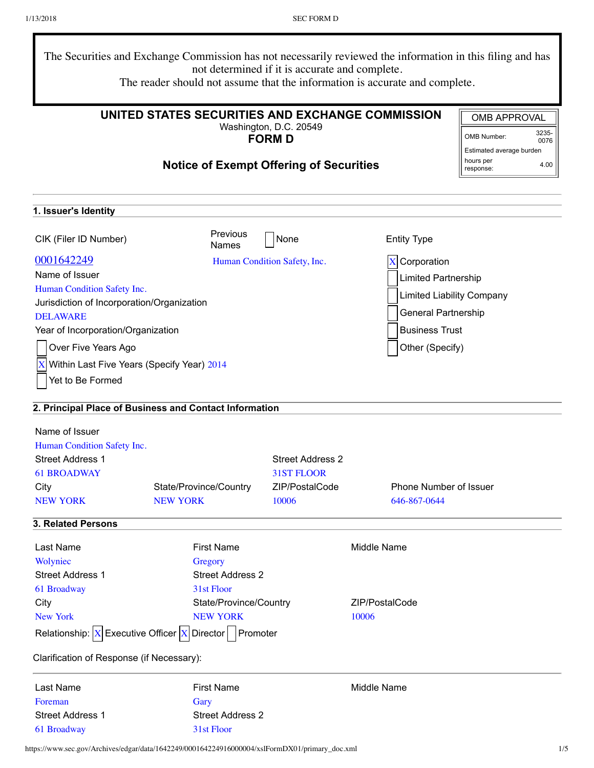| The Securities and Exchange Commission has not necessarily reviewed the information in this filing and has<br>not determined if it is accurate and complete.<br>The reader should not assume that the information is accurate and complete. |                     |
|---------------------------------------------------------------------------------------------------------------------------------------------------------------------------------------------------------------------------------------------|---------------------|
| UNITED STATES SECURITIES AND EXCHANGE COMMISSION                                                                                                                                                                                            | <b>OMB APPROVAL</b> |
| Washington, D.C. 20549                                                                                                                                                                                                                      | 3235-               |

**FORM D**

# **Notice of Exempt Offering of Securities**

| OMB Number:              | 3235-<br>0076 |
|--------------------------|---------------|
| Estimated average burden |               |
| hours per<br>response:   | 4.00          |

| 1. Issuer's Identity                       |                                                                                        |                              |                                  |
|--------------------------------------------|----------------------------------------------------------------------------------------|------------------------------|----------------------------------|
| CIK (Filer ID Number)                      | <b>Previous</b><br><b>Names</b>                                                        | None                         | <b>Entity Type</b>               |
| 0001642249                                 |                                                                                        | Human Condition Safety, Inc. | $X$ Corporation                  |
| Name of Issuer                             |                                                                                        |                              | <b>Limited Partnership</b>       |
| Human Condition Safety Inc.                |                                                                                        |                              |                                  |
| Jurisdiction of Incorporation/Organization |                                                                                        |                              | <b>Limited Liability Company</b> |
| <b>DELAWARE</b>                            |                                                                                        |                              | General Partnership              |
| Year of Incorporation/Organization         |                                                                                        |                              | <b>Business Trust</b>            |
| Over Five Years Ago                        |                                                                                        |                              | Other (Specify)                  |
| Within Last Five Years (Specify Year) 2014 |                                                                                        |                              |                                  |
| Yet to Be Formed                           |                                                                                        |                              |                                  |
|                                            | 2. Principal Place of Business and Contact Information                                 |                              |                                  |
| Name of Issuer                             |                                                                                        |                              |                                  |
| Human Condition Safety Inc.                |                                                                                        |                              |                                  |
| <b>Street Address 1</b>                    |                                                                                        | <b>Street Address 2</b>      |                                  |
| <b>61 BROADWAY</b>                         |                                                                                        | 31ST FLOOR                   |                                  |
| City                                       | State/Province/Country                                                                 | ZIP/PostalCode               | <b>Phone Number of Issuer</b>    |
| <b>NEW YORK</b>                            | <b>NEW YORK</b>                                                                        | 10006                        | 646-867-0644                     |
| 3. Related Persons                         |                                                                                        |                              |                                  |
| Last Name                                  | <b>First Name</b>                                                                      |                              | Middle Name                      |
| Wolyniec                                   | Gregory                                                                                |                              |                                  |
| <b>Street Address 1</b>                    | <b>Street Address 2</b>                                                                |                              |                                  |
| 61 Broadway                                | 31st Floor                                                                             |                              |                                  |
| City                                       | State/Province/Country                                                                 |                              | ZIP/PostalCode                   |
| <b>New York</b>                            | <b>NEW YORK</b>                                                                        |                              | 10006                            |
|                                            | Relationship: $\boxed{X}$ Executive Officer $\boxed{X}$ Director $\boxed{\ }$ Promoter |                              |                                  |
| Clarification of Response (if Necessary):  |                                                                                        |                              |                                  |
| Last Name                                  | <b>First Name</b>                                                                      |                              | Middle Name                      |
| Foreman                                    | Gary                                                                                   |                              |                                  |
| <b>Street Address 1</b>                    | <b>Street Address 2</b>                                                                |                              |                                  |
| 61 Broadway                                | 31st Floor                                                                             |                              |                                  |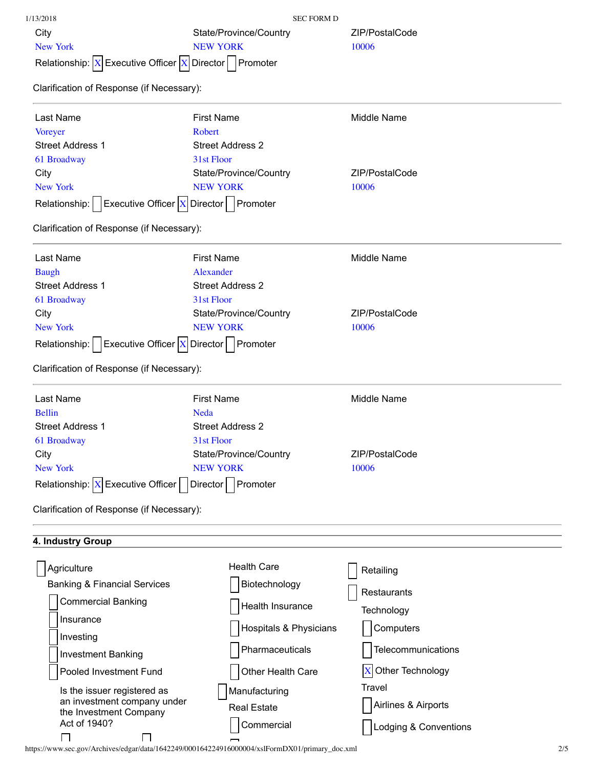| 1/13/2018                                                                                                  | <b>SEC FORM D</b>       |                       |
|------------------------------------------------------------------------------------------------------------|-------------------------|-----------------------|
| City                                                                                                       | State/Province/Country  | ZIP/PostalCode        |
| New York                                                                                                   | <b>NEW YORK</b>         | 10006                 |
| Relationship: $ X $ Executive Officer $ X $ Director   Promoter                                            |                         |                       |
| Clarification of Response (if Necessary):                                                                  |                         |                       |
|                                                                                                            |                         |                       |
| Last Name                                                                                                  | <b>First Name</b>       | <b>Middle Name</b>    |
| <b>Voreyer</b>                                                                                             | Robert                  |                       |
| <b>Street Address 1</b>                                                                                    | <b>Street Address 2</b> |                       |
| 61 Broadway                                                                                                | 31st Floor              |                       |
| City                                                                                                       | State/Province/Country  | ZIP/PostalCode        |
| <b>New York</b>                                                                                            | <b>NEW YORK</b>         | 10006                 |
| Executive Officer $X$ Director   Promoter<br>Relationship:                                                 |                         |                       |
| Clarification of Response (if Necessary):                                                                  |                         |                       |
| Last Name                                                                                                  | <b>First Name</b>       | Middle Name           |
| <b>Baugh</b>                                                                                               | Alexander               |                       |
| <b>Street Address 1</b>                                                                                    | <b>Street Address 2</b> |                       |
| 61 Broadway                                                                                                | 31st Floor              |                       |
| City                                                                                                       | State/Province/Country  | ZIP/PostalCode        |
| <b>New York</b>                                                                                            | <b>NEW YORK</b>         | 10006                 |
| $\left $ Executive Officer $\left  \mathbf{X} \right $ Director $\left  \right $ Promoter<br>Relationship: |                         |                       |
| Clarification of Response (if Necessary):                                                                  |                         |                       |
|                                                                                                            |                         |                       |
| Last Name                                                                                                  | <b>First Name</b>       | Middle Name           |
| <b>Bellin</b>                                                                                              | <b>Neda</b>             |                       |
| <b>Street Address 1</b>                                                                                    | <b>Street Address 2</b> |                       |
| 61 Broadway                                                                                                | 31st Floor              |                       |
| City                                                                                                       | State/Province/Country  | ZIP/PostalCode        |
| New York                                                                                                   | <b>NEW YORK</b>         | 10006                 |
| Relationship: $X$ Executive Officer   Director                                                             | Promoter                |                       |
| Clarification of Response (if Necessary):                                                                  |                         |                       |
| 4. Industry Group                                                                                          |                         |                       |
|                                                                                                            | <b>Health Care</b>      |                       |
| Agriculture                                                                                                |                         | Retailing             |
| <b>Banking &amp; Financial Services</b>                                                                    | Biotechnology           | Restaurants           |
| <b>Commercial Banking</b>                                                                                  | Health Insurance        | Technology            |
| Insurance                                                                                                  |                         |                       |
| Investing                                                                                                  | Hospitals & Physicians  | Computers             |
| <b>Investment Banking</b>                                                                                  | Pharmaceuticals         | Telecommunications    |
| Pooled Investment Fund                                                                                     | Other Health Care       | X Other Technology    |
|                                                                                                            |                         | Travel                |
| Is the issuer registered as<br>an investment company under                                                 | Manufacturing           |                       |
| the Investment Company                                                                                     | <b>Real Estate</b>      | Airlines & Airports   |
| Act of 1940?                                                                                               | Commercial              | Lodging & Conventions |
|                                                                                                            |                         |                       |

https://www.sec.gov/Archives/edgar/data/1642249/000164224916000004/xslFormDX01/primary\_doc.xml 2/5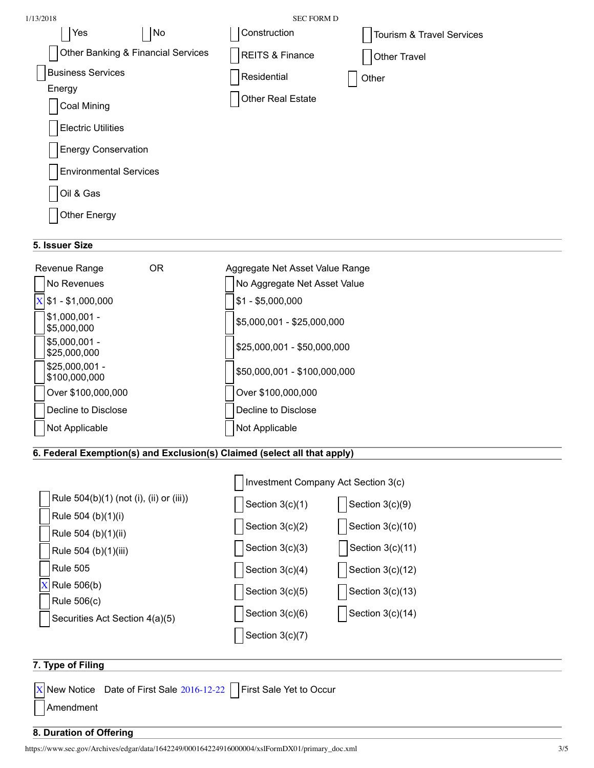| 1/13/2018                          | <b>SEC FORM D</b>          |                           |
|------------------------------------|----------------------------|---------------------------|
| N <sub>o</sub><br>Yes              | Construction               | Tourism & Travel Services |
| Other Banking & Financial Services | <b>REITS &amp; Finance</b> | Other Travel              |
| <b>Business Services</b>           | Residential                | Other                     |
| Energy<br>Coal Mining              | Other Real Estate          |                           |
| <b>Electric Utilities</b>          |                            |                           |
| <b>Energy Conservation</b>         |                            |                           |
| <b>Environmental Services</b>      |                            |                           |
| Oil & Gas                          |                            |                           |
| Other Energy                       |                            |                           |
|                                    |                            |                           |

## **5. Issuer Size**



## **6. Federal Exemption(s) and Exclusion(s) Claimed (select all that apply)**

|                                               | Investment Company Act Section 3(c) |                    |  |
|-----------------------------------------------|-------------------------------------|--------------------|--|
| Rule 504(b)(1) (not (i), (ii) or (iii))       | Section $3(c)(1)$                   | Section 3(c)(9)    |  |
| Rule 504 (b)(1)(i)<br>Rule 504 (b)(1)(ii)     | Section $3(c)(2)$                   | Section $3(c)(10)$ |  |
| Rule 504 (b)(1)(iii)                          | Section $3(c)(3)$                   | Section 3(c)(11)   |  |
| Rule 505                                      | Section $3(c)(4)$                   | Section $3(c)(12)$ |  |
| Rule 506(b)                                   | Section $3(c)(5)$                   | Section $3(c)(13)$ |  |
| Rule 506(c)<br>Securities Act Section 4(a)(5) | Section $3(c)(6)$                   | Section $3(c)(14)$ |  |
|                                               | Section $3(c)(7)$                   |                    |  |
|                                               |                                     |                    |  |

# **7. Type of Filing**

| $\overline{X}$ New Notice Date of First Sale 2016-12-22 $\Box$ First Sale Yet to Occur |  |
|----------------------------------------------------------------------------------------|--|
| Amendment                                                                              |  |

## **8. Duration of Offering**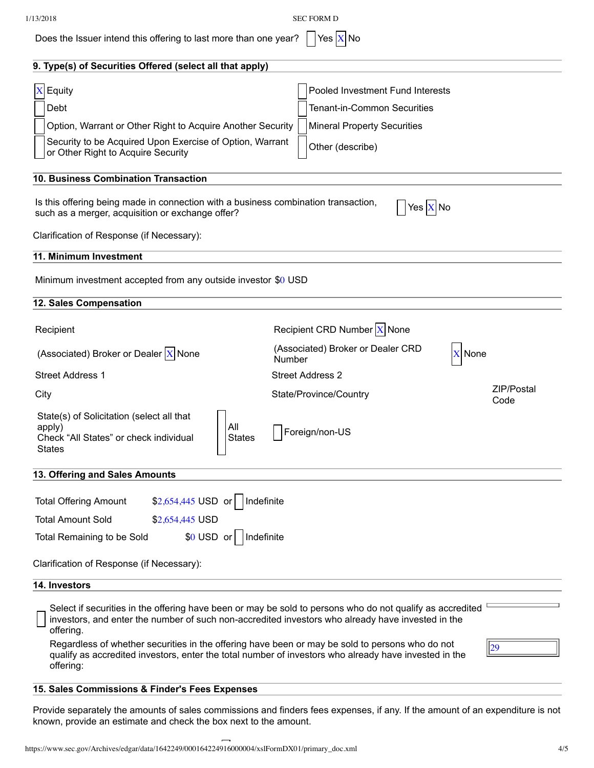1/13/2018 SEC FORM D

Does the Issuer intend this offering to last more than one year?  $\Box$  Yes  $\overline{X}$  No

| 9. Type(s) of Securities Offered (select all that apply)                                                                                                                                                                    |                                                                        |                    |
|-----------------------------------------------------------------------------------------------------------------------------------------------------------------------------------------------------------------------------|------------------------------------------------------------------------|--------------------|
| $X$ Equity<br>Debt                                                                                                                                                                                                          | Pooled Investment Fund Interests<br><b>Tenant-in-Common Securities</b> |                    |
| Option, Warrant or Other Right to Acquire Another Security                                                                                                                                                                  | <b>Mineral Property Securities</b>                                     |                    |
| Security to be Acquired Upon Exercise of Option, Warrant<br>or Other Right to Acquire Security                                                                                                                              | Other (describe)                                                       |                    |
| 10. Business Combination Transaction                                                                                                                                                                                        |                                                                        |                    |
| Is this offering being made in connection with a business combination transaction,<br>such as a merger, acquisition or exchange offer?                                                                                      | Yes $X $ No                                                            |                    |
| Clarification of Response (if Necessary):                                                                                                                                                                                   |                                                                        |                    |
| 11. Minimum Investment                                                                                                                                                                                                      |                                                                        |                    |
| Minimum investment accepted from any outside investor \$0 USD                                                                                                                                                               |                                                                        |                    |
| 12. Sales Compensation                                                                                                                                                                                                      |                                                                        |                    |
| Recipient                                                                                                                                                                                                                   | Recipient CRD Number $X$ None                                          |                    |
| (Associated) Broker or Dealer $X$ None                                                                                                                                                                                      | (Associated) Broker or Dealer CRD<br>None<br>Number                    |                    |
| <b>Street Address 1</b>                                                                                                                                                                                                     | <b>Street Address 2</b>                                                |                    |
| City                                                                                                                                                                                                                        | State/Province/Country                                                 | ZIP/Postal<br>Code |
| State(s) of Solicitation (select all that<br>All<br>apply)<br><b>States</b><br>Check "All States" or check individual<br><b>States</b>                                                                                      | Foreign/non-US                                                         |                    |
| 13. Offering and Sales Amounts                                                                                                                                                                                              |                                                                        |                    |
| \$2,654,445 USD or<br>Indefinite<br><b>Total Offering Amount</b><br><b>Total Amount Sold</b><br>\$2,654,445 USD                                                                                                             |                                                                        |                    |
| \$0 USD or<br>Indefinite<br>Total Remaining to be Sold                                                                                                                                                                      |                                                                        |                    |
| Clarification of Response (if Necessary):                                                                                                                                                                                   |                                                                        |                    |
| 14. Investors                                                                                                                                                                                                               |                                                                        |                    |
| Select if securities in the offering have been or may be sold to persons who do not qualify as accredited<br>investors, and enter the number of such non-accredited investors who already have invested in the<br>offering. |                                                                        |                    |
| Regardless of whether securities in the offering have been or may be sold to persons who do not<br>qualify as accredited investors, enter the total number of investors who already have invested in the<br>offering:       |                                                                        | 29                 |
| 15. Sales Commissions & Finder's Fees Expenses                                                                                                                                                                              |                                                                        |                    |

Provide separately the amounts of sales commissions and finders fees expenses, if any. If the amount of an expenditure is not known, provide an estimate and check the box next to the amount.